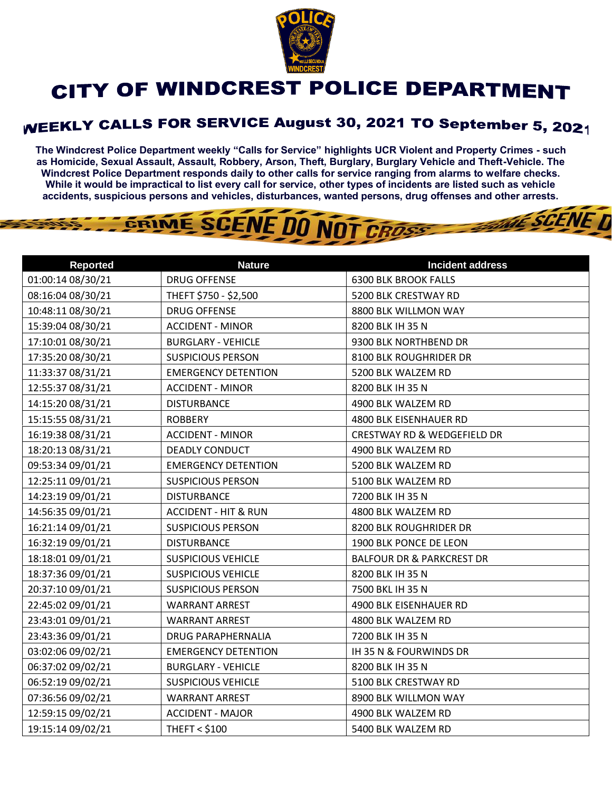

## CITY OF WINDCREST POLICE DEPARTMENT

## WEEKLY CALLS FOR SERVICE August 30, 2021 TO September 5, 2021

**The Windcrest Police Department weekly "Calls for Service" highlights UCR Violent and Property Crimes - such as Homicide, Sexual Assault, Assault, Robbery, Arson, Theft, Burglary, Burglary Vehicle and Theft-Vehicle. The Windcrest Police Department responds daily to other calls for service ranging from alarms to welfare checks. While it would be impractical to list every call for service, other types of incidents are listed such as vehicle accidents, suspicious persons and vehicles, disturbances, wanted persons, drug offenses and other arrests.** 

THE SCENE D

## GRIME SCENE DO NOT CROSS

| <b>Reported</b>   | <b>Nature</b>                   | <b>Incident address</b>                |
|-------------------|---------------------------------|----------------------------------------|
| 01:00:14 08/30/21 | <b>DRUG OFFENSE</b>             | <b>6300 BLK BROOK FALLS</b>            |
| 08:16:04 08/30/21 | THEFT \$750 - \$2,500           | 5200 BLK CRESTWAY RD                   |
| 10:48:11 08/30/21 | <b>DRUG OFFENSE</b>             | 8800 BLK WILLMON WAY                   |
| 15:39:04 08/30/21 | <b>ACCIDENT - MINOR</b>         | 8200 BLK IH 35 N                       |
| 17:10:01 08/30/21 | <b>BURGLARY - VEHICLE</b>       | 9300 BLK NORTHBEND DR                  |
| 17:35:20 08/30/21 | <b>SUSPICIOUS PERSON</b>        | 8100 BLK ROUGHRIDER DR                 |
| 11:33:37 08/31/21 | <b>EMERGENCY DETENTION</b>      | 5200 BLK WALZEM RD                     |
| 12:55:37 08/31/21 | <b>ACCIDENT - MINOR</b>         | 8200 BLK IH 35 N                       |
| 14:15:20 08/31/21 | <b>DISTURBANCE</b>              | 4900 BLK WALZEM RD                     |
| 15:15:55 08/31/21 | <b>ROBBERY</b>                  | 4800 BLK EISENHAUER RD                 |
| 16:19:38 08/31/21 | <b>ACCIDENT - MINOR</b>         | <b>CRESTWAY RD &amp; WEDGEFIELD DR</b> |
| 18:20:13 08/31/21 | <b>DEADLY CONDUCT</b>           | 4900 BLK WALZEM RD                     |
| 09:53:34 09/01/21 | <b>EMERGENCY DETENTION</b>      | 5200 BLK WALZEM RD                     |
| 12:25:11 09/01/21 | <b>SUSPICIOUS PERSON</b>        | 5100 BLK WALZEM RD                     |
| 14:23:19 09/01/21 | <b>DISTURBANCE</b>              | 7200 BLK IH 35 N                       |
| 14:56:35 09/01/21 | <b>ACCIDENT - HIT &amp; RUN</b> | 4800 BLK WALZEM RD                     |
| 16:21:14 09/01/21 | <b>SUSPICIOUS PERSON</b>        | 8200 BLK ROUGHRIDER DR                 |
| 16:32:19 09/01/21 | <b>DISTURBANCE</b>              | 1900 BLK PONCE DE LEON                 |
| 18:18:01 09/01/21 | <b>SUSPICIOUS VEHICLE</b>       | <b>BALFOUR DR &amp; PARKCREST DR</b>   |
| 18:37:36 09/01/21 | <b>SUSPICIOUS VEHICLE</b>       | 8200 BLK IH 35 N                       |
| 20:37:10 09/01/21 | <b>SUSPICIOUS PERSON</b>        | 7500 BKL IH 35 N                       |
| 22:45:02 09/01/21 | <b>WARRANT ARREST</b>           | 4900 BLK EISENHAUER RD                 |
| 23:43:01 09/01/21 | <b>WARRANT ARREST</b>           | 4800 BLK WALZEM RD                     |
| 23:43:36 09/01/21 | <b>DRUG PARAPHERNALIA</b>       | 7200 BLK IH 35 N                       |
| 03:02:06 09/02/21 | <b>EMERGENCY DETENTION</b>      | IH 35 N & FOURWINDS DR                 |
| 06:37:02 09/02/21 | <b>BURGLARY - VEHICLE</b>       | 8200 BLK IH 35 N                       |
| 06:52:19 09/02/21 | <b>SUSPICIOUS VEHICLE</b>       | 5100 BLK CRESTWAY RD                   |
| 07:36:56 09/02/21 | <b>WARRANT ARREST</b>           | 8900 BLK WILLMON WAY                   |
| 12:59:15 09/02/21 | <b>ACCIDENT - MAJOR</b>         | 4900 BLK WALZEM RD                     |
| 19:15:14 09/02/21 | <b>THEFT &lt; \$100</b>         | 5400 BLK WALZEM RD                     |